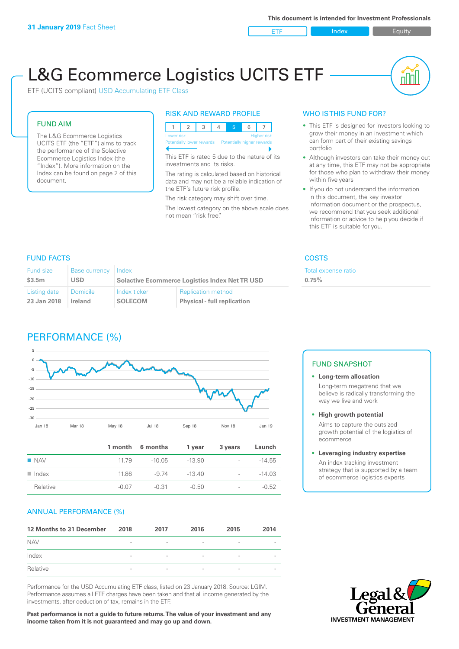ETF Index Buity

nl IN

# L&G Ecommerce Logistics UCITS ETF

ETF (UCITS compliant) USD Accumulating ETF Class

### FUND AIM

The L&G Ecommerce Logistics UCITS ETF (the "ETF") aims to track the performance of the Solactive Ecommerce Logistics Index (the "Index"). More information on the Index can be found on page 2 of this document.

### RISK AND REWARD PROFILE



This ETF is rated 5 due to the nature of its investments and its risks.

The rating is calculated based on historical data and may not be a reliable indication of the ETF's future risk profile.

The risk category may shift over time. The lowest category on the above scale does not mean "risk free".

### WHO IS THIS FUND FOR?

- This ETF is designed for investors looking to grow their money in an investment which can form part of their existing savings portfolio
- Although investors can take their money out at any time, this ETF may not be appropriate for those who plan to withdraw their money within five years
- If you do not understand the information in this document, the key investor information document or the prospectus, we recommend that you seek additional information or advice to help you decide if this ETF is suitable for you.

**0.75%**

Total expense ratio

### FUND FACTS COSTS

| Fund size<br>\$3.5m | Base currency Index<br>USD | <b>Solactive Ecommerce Logistics Index Net TR USD</b> |                                    |  |
|---------------------|----------------------------|-------------------------------------------------------|------------------------------------|--|
| Listing date        | I Domicile                 | Index ticker                                          | <b>Replication method</b>          |  |
| 23 Jan 2018         | Ireland                    | <b>SOLECOM</b>                                        | <b>Physical - full replication</b> |  |

### PERFORMANCE (%)



|                      |         | 1 month 6 months | 1 year   | 3 years                  | Launch   |
|----------------------|---------|------------------|----------|--------------------------|----------|
| $\blacksquare$ NAV   | 11 79   | -10.05           | $-13.90$ | $\sim$                   | $-14.55$ |
| $\blacksquare$ Index | 11.86   | -9 74            | $-13.40$ | $\overline{\phantom{0}}$ | $-14.03$ |
| Relative             | $-0.07$ | $-0.31$          | $-0.50$  | $\overline{\phantom{a}}$ | $-0.52$  |

### ANNUAL PERFORMANCE (%)

| 12 Months to 31 December | 2018                     | 2017                     | 2016                     | 2015                     | 2014 |
|--------------------------|--------------------------|--------------------------|--------------------------|--------------------------|------|
| <b>NAV</b>               | $\overline{\phantom{a}}$ | $\overline{\phantom{a}}$ |                          | $\qquad \qquad$          |      |
| Index                    | $\overline{\phantom{a}}$ | $\overline{\phantom{a}}$ |                          | $\qquad \qquad$          |      |
| Relative                 | $\overline{\phantom{a}}$ | $\overline{\phantom{a}}$ | $\overline{\phantom{a}}$ | $\overline{\phantom{a}}$ |      |

Performance for the USD Accumulating ETF class, listed on 23 January 2018. Source: LGIM. Performance assumes all ETF charges have been taken and that all income generated by the investments, after deduction of tax, remains in the ETF.

**Past performance is not a guide to future returns. The value of your investment and any income taken from it is not guaranteed and may go up and down.**

### FUND SNAPSHOT

**• Long-term allocation** Long-term megatrend that we believe is radically transforming the way we live and work

**• High growth potential** Aims to capture the outsized

growth potential of the logistics of ecommerce

### **• Leveraging industry expertise**

An index tracking investment strategy that is supported by a team of ecommerce logistics experts

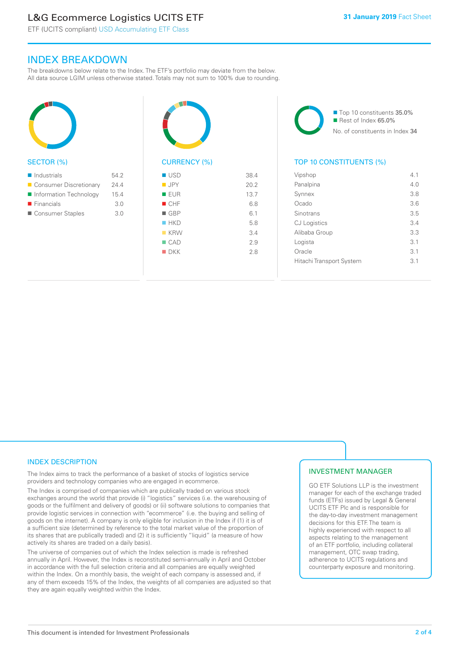### L&G Ecommerce Logistics UCITS ETF

ETF (UCITS compliant) USD Accumulating ETF Class

### INDEX BREAKDOWN

The breakdowns below relate to the Index. The ETF's portfolio may deviate from the below. All data source LGIM unless otherwise stated. Totals may not sum to 100% due to rounding.



#### SECTOR (%)

| $\blacksquare$ Industrials | 54.2 |
|----------------------------|------|
| ■ Consumer Discretionary   | 24.4 |
| Information Technology     | 15.4 |
| $\blacksquare$ Financials  | 3.0  |
| ■ Consumer Staples         | 3.0  |



## CURRENCY (%)

| ■ USD              | 38.4 |
|--------------------|------|
| $\blacksquare$ JPY | 20.2 |
| <b>EUR</b>         | 13.7 |
| CHF                | 6.8  |
| $\blacksquare$ GBP | 6.1  |
| HKD                | 5.8  |
| $K$ KRW            | 3.4  |
| $\blacksquare$ CAD | 2.9  |
| $\blacksquare$ DKK | 2.8  |
|                    |      |

■ Top 10 constituents 35.0% Rest of Index 65.0% No. of constituents in Index 34

### TOP 10 CONSTITUENTS (%)

| Vipshop                  | 4.1 |
|--------------------------|-----|
| Panalpina                | 4.0 |
| Synnex                   | 3.8 |
| Ocado                    | 3.6 |
| Sinotrans                | 3.5 |
| <b>CJ</b> Logistics      | 3.4 |
| Alibaba Group            | 3.3 |
| Logista                  | 3.1 |
| Oracle                   | 3.1 |
| Hitachi Transport System | 31  |
|                          |     |

### INDEX DESCRIPTION

The Index aims to track the performance of a basket of stocks of logistics service providers and technology companies who are engaged in ecommerce.

The Index is comprised of companies which are publically traded on various stock exchanges around the world that provide (i) "logistics" services (i.e. the warehousing of goods or the fulfilment and delivery of goods) or (ii) software solutions to companies that provide logistic services in connection with "ecommerce" (i.e. the buying and selling of goods on the internet). A company is only eligible for inclusion in the Index if (1) it is of a sufficient size (determined by reference to the total market value of the proportion of its shares that are publically traded) and (2) it is sufficiently "liquid" (a measure of how actively its shares are traded on a daily basis).

The universe of companies out of which the Index selection is made is refreshed annually in April. However, the Index is reconstituted semi-annually in April and October in accordance with the full selection criteria and all companies are equally weighted within the Index. On a monthly basis, the weight of each company is assessed and, if any of them exceeds 15% of the Index, the weights of all companies are adjusted so that they are again equally weighted within the Index.

### INVESTMENT MANAGER

GO ETF Solutions LLP is the investment manager for each of the exchange traded funds (ETFs) issued by Legal & General UCITS ETF Plc and is responsible for the day-to-day investment management decisions for this ETF. The team is highly experienced with respect to all aspects relating to the management of an ETF portfolio, including collateral management, OTC swap trading, adherence to UCITS regulations and counterparty exposure and monitoring.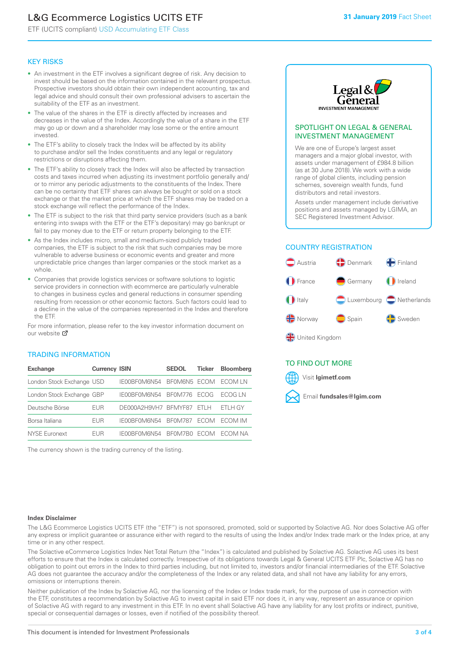### L&G Ecommerce Logistics UCITS ETF

ETF (UCITS compliant) USD Accumulating ETF Class

### KEY RISKS

- An investment in the ETF involves a significant degree of risk. Any decision to invest should be based on the information contained in the relevant prospectus. Prospective investors should obtain their own independent accounting, tax and legal advice and should consult their own professional advisers to ascertain the suitability of the ETF as an investment.
- The value of the shares in the ETF is directly affected by increases and decreases in the value of the Index. Accordingly the value of a share in the ETF may go up or down and a shareholder may lose some or the entire amount invested.
- The ETF's ability to closely track the Index will be affected by its ability to purchase and/or sell the Index constituents and any legal or regulatory restrictions or disruptions affecting them.
- The ETF's ability to closely track the Index will also be affected by transaction costs and taxes incurred when adjusting its investment portfolio generally and/ or to mirror any periodic adjustments to the constituents of the Index. There can be no certainty that ETF shares can always be bought or sold on a stock exchange or that the market price at which the ETF shares may be traded on a stock exchange will reflect the performance of the Index.
- The ETF is subject to the risk that third party service providers (such as a bank entering into swaps with the ETF or the ETF's depositary) may go bankrupt or fail to pay money due to the ETF or return property belonging to the ETF.
- As the Index includes micro, small and medium-sized publicly traded companies, the ETF is subject to the risk that such companies may be more vulnerable to adverse business or economic events and greater and more unpredictable price changes than larger companies or the stock market as a whole.
- Companies that provide logistics services or software solutions to logistic service providers in connection with ecommerce are particularly vulnerable to changes in business cycles and general reductions in consumer spending resulting from recession or other economic factors. Such factors could lead to a decline in the value of the companies represented in the Index and therefore the ETF.

For more in[form](https://www.lgimetf.com/)ation, please refer to the key investor information document on our website ぴ

### TRADING INFORMATION

| <b>Exchange</b>           | <b>Currency ISIN</b> |                      | <b>SEDOL</b>   | <b>Ticker</b> | <b>Bloomberg</b> |
|---------------------------|----------------------|----------------------|----------------|---------------|------------------|
| London Stock Exchange USD |                      | IE00BF0M6N54         | BFOM6N5 ECOM   |               | ECOM I N         |
| London Stock Exchange GBP |                      | IE00BF0M6N54         | <b>BF0M776</b> | <b>FCOG</b>   | FCOG I N         |
| Deutsche Börse            | EUR                  | DE000A2H9VH7 BFMYF87 |                | - ETI H       | ETLH GY          |
| Borsa Italiana            | EUR                  | IE00BF0M6N54         | <b>BF0M787</b> | <b>FCOM</b>   | ECOM IM          |
| <b>NYSE Euronext</b>      | <b>FUR</b>           | IF00BF0M6N54         | BF0M7B0        | <b>FCOM</b>   | FCOM NA          |

The currency shown is the trading currency of the listing.



### SPOTLIGHT ON LEGAL & GENERAL INVESTMENT MANAGEMENT

We are one of Europe's largest asset managers and a major global investor, with assets under management of £984.8 billion (as at 30 June 2018). We work with a wide range of global clients, including pension schemes, sovereign wealth funds, fund distributors and retail investors.

Assets under management include derivative positions and assets managed by LGIMA, an SEC Registered Investment Advisor.

### COUNTRY REGISTRATION



### TO FIND OUT MORE

Visit **lgimetf.com**



#### **Index Disclaimer**

The L&G Ecommerce Logistics UCITS ETF (the "ETF") is not sponsored, promoted, sold or supported by Solactive AG. Nor does Solactive AG offer any express or implicit guarantee or assurance either with regard to the results of using the Index and/or Index trade mark or the Index price, at any time or in any other respect.

The Solactive eCommerce Logistics Index Net Total Return (the "Index") is calculated and published by Solactive AG. Solactive AG uses its best efforts to ensure that the Index is calculated correctly. Irrespective of its obligations towards Legal & General UCITS ETF Plc, Solactive AG has no obligation to point out errors in the Index to third parties including, but not limited to, investors and/or financial intermediaries of the ETF. Solactive AG does not guarantee the accuracy and/or the completeness of the Index or any related data, and shall not have any liability for any errors, omissions or interruptions therein.

Neither publication of the Index by Solactive AG, nor the licensing of the Index or Index trade mark, for the purpose of use in connection with the ETF, constitutes a recommendation by Solactive AG to invest capital in said ETF nor does it, in any way, represent an assurance or opinion of Solactive AG with regard to any investment in this ETF. In no event shall Solactive AG have any liability for any lost profits or indirect, punitive, special or consequential damages or losses, even if notified of the possibility thereof.